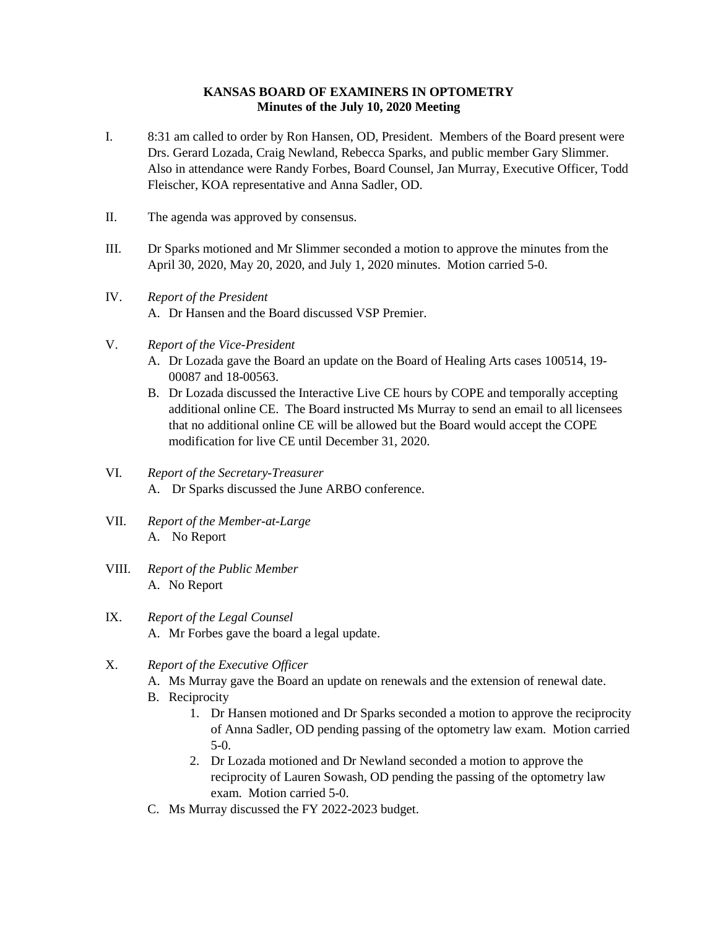## **KANSAS BOARD OF EXAMINERS IN OPTOMETRY Minutes of the July 10, 2020 Meeting**

- I. 8:31 am called to order by Ron Hansen, OD, President. Members of the Board present were Drs. Gerard Lozada, Craig Newland, Rebecca Sparks, and public member Gary Slimmer. Also in attendance were Randy Forbes, Board Counsel, Jan Murray, Executive Officer, Todd Fleischer, KOA representative and Anna Sadler, OD.
- II. The agenda was approved by consensus.
- III. Dr Sparks motioned and Mr Slimmer seconded a motion to approve the minutes from the April 30, 2020, May 20, 2020, and July 1, 2020 minutes. Motion carried 5-0.
- IV. *Report of the President* A. Dr Hansen and the Board discussed VSP Premier.
- V. *Report of the Vice-President*
	- A. Dr Lozada gave the Board an update on the Board of Healing Arts cases 100514, 19- 00087 and 18-00563.
	- B. Dr Lozada discussed the Interactive Live CE hours by COPE and temporally accepting additional online CE. The Board instructed Ms Murray to send an email to all licensees that no additional online CE will be allowed but the Board would accept the COPE modification for live CE until December 31, 2020.
- VI. *Report of the Secretary-Treasurer* A. Dr Sparks discussed the June ARBO conference.
- VII. *Report of the Member-at-Large* A. No Report
- VIII. *Report of the Public Member* A. No Report
- IX. *Report of the Legal Counsel* A. Mr Forbes gave the board a legal update.
- X. *Report of the Executive Officer*
	- A. Ms Murray gave the Board an update on renewals and the extension of renewal date.
	- B. Reciprocity
		- 1. Dr Hansen motioned and Dr Sparks seconded a motion to approve the reciprocity of Anna Sadler, OD pending passing of the optometry law exam. Motion carried 5-0.
		- 2. Dr Lozada motioned and Dr Newland seconded a motion to approve the reciprocity of Lauren Sowash, OD pending the passing of the optometry law exam. Motion carried 5-0.
	- C. Ms Murray discussed the FY 2022-2023 budget.